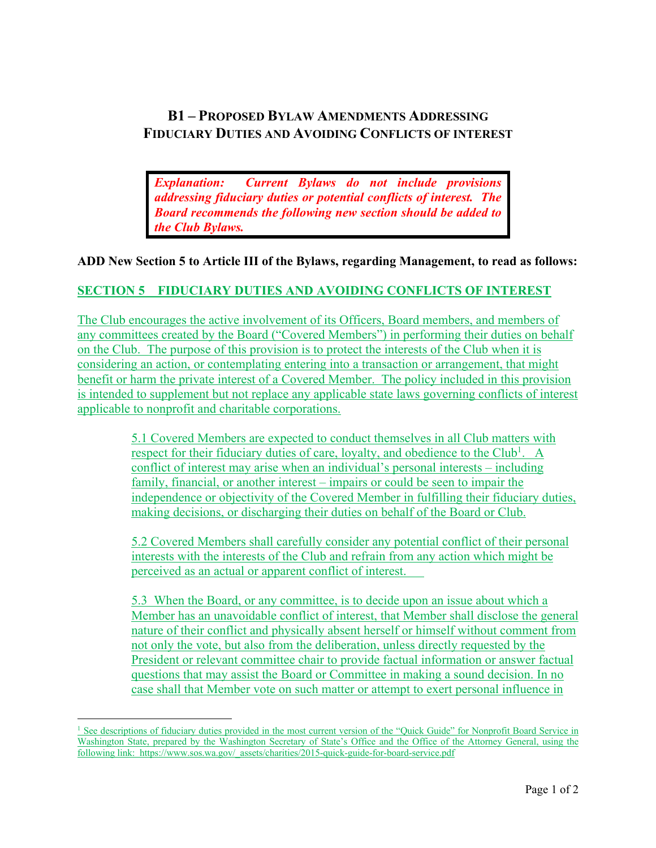## **B1 – PROPOSED BYLAW AMENDMENTS ADDRESSING FIDUCIARY DUTIES AND AVOIDING CONFLICTS OF INTEREST**

*Explanation: Current Bylaws do not include provisions addressing fiduciary duties or potential conflicts of interest. The Board recommends the following new section should be added to the Club Bylaws.*

**ADD New Section 5 to Article III of the Bylaws, regarding Management, to read as follows:**

## **SECTION 5 FIDUCIARY DUTIES AND AVOIDING CONFLICTS OF INTEREST**

The Club encourages the active involvement of its Officers, Board members, and members of any committees created by the Board ("Covered Members") in performing their duties on behalf on the Club. The purpose of this provision is to protect the interests of the Club when it is considering an action, or contemplating entering into a transaction or arrangement, that might benefit or harm the private interest of a Covered Member. The policy included in this provision is intended to supplement but not replace any applicable state laws governing conflicts of interest applicable to nonprofit and charitable corporations.

> 5.1 Covered Members are expected to conduct themselves in all Club matters with respect for their fiduciary duties of care, loyalty, and obedience to the Club<sup>1</sup>. A conflict of interest may arise when an individual's personal interests – including family, financial, or another interest – impairs or could be seen to impair the independence or objectivity of the Covered Member in fulfilling their fiduciary duties, making decisions, or discharging their duties on behalf of the Board or Club.

5.2 Covered Members shall carefully consider any potential conflict of their personal interests with the interests of the Club and refrain from any action which might be perceived as an actual or apparent conflict of interest.

5.3 When the Board, or any committee, is to decide upon an issue about which a Member has an unavoidable conflict of interest, that Member shall disclose the general nature of their conflict and physically absent herself or himself without comment from not only the vote, but also from the deliberation, unless directly requested by the President or relevant committee chair to provide factual information or answer factual questions that may assist the Board or Committee in making a sound decision. In no case shall that Member vote on such matter or attempt to exert personal influence in

<sup>&</sup>lt;sup>1</sup> See descriptions of fiduciary duties provided in the most current version of the "Quick Guide" for Nonprofit Board Service in Washington State, prepared by the Washington Secretary of State's Office and the Office of the Attorney General, using the following link: https://www.sos.wa.gov/\_assets/charities/2015-quick-guide-for-board-service.pdf